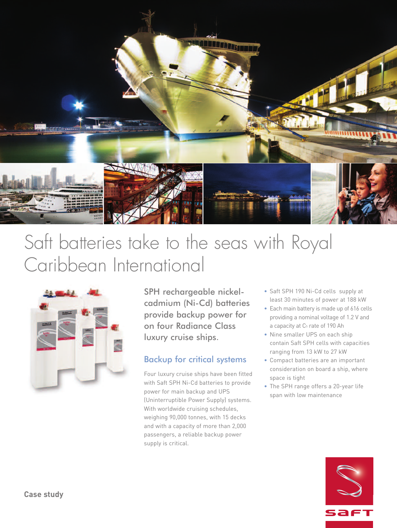

# Saft batteries take to the seas with Royal Caribbean International



SPH rechargeable nickelcadmium (Ni-Cd) batteries provide backup power for on four Radiance Class luxury cruise ships.

### Backup for critical systems

Four luxury cruise ships have been fitted with Saft SPH Ni-Cd batteries to provide power for main backup and UPS (Uninterruptible Power Supply) systems. With worldwide cruising schedules, weighing 90,000 tonnes, with 15 decks and with a capacity of more than 2,000 passengers, a reliable backup power supply is critical.

- Saft SPH 190 Ni-Cd cells supply at least 30 minutes of power at 188 kW
- Each main battery is made up of 616 cells providing a nominal voltage of 1.2 V and a capacity at C<sub>5</sub> rate of 190 Ah
- Nine smaller UPS on each ship contain Saft SPH cells with capacities ranging from 13 kW to 27 kW
- Compact batteries are an important consideration on board a ship, where space is tight
- The SPH range offers a 20-year life span with low maintenance